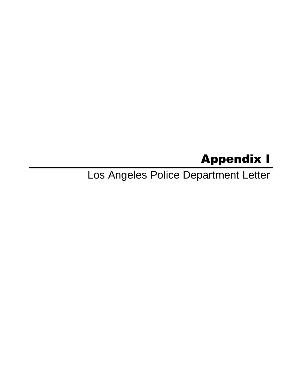# Appendix I

Los Angeles Police Department Letter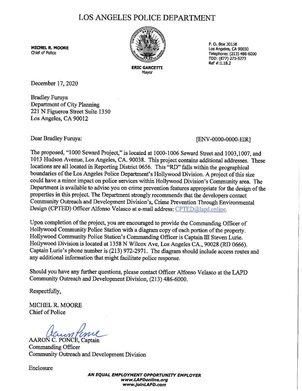## LOS ANGELES POLICE DEPARTMENT

**MICHEL R. MOORE**  Chief of Police



Mayor

P. 0. Box 30158 Los Angeles, CA 90030 Telephone: (213) 486-6000 TDD: (877) 275-5273 Ref #:1.18.2

December 17, 2020

Bradley Furuya Department of City Planning 221 N Figueroa Street Suite 1350 Los Angeles, CA 90012

Dear Bradley Furuya: [ENV-0000-0000-EIR]

The proposed, "1000 Seward Project," is located at 1000-1006 Seward Street and 1003,1007, and 1013 Hudson Avenue, Los Angeles, CA. 90038. This project contains additional addresses. These locations are all located in Reporting District 0656. This "RD" falls within the geographical boundaries of the Los Angeles Police Department's Hollywood Division. A project of this size could have a minor impact on police services within Hollywood Division's Community area. The Department is available to advise you on crime prevention features appropriate for the design of the properties in this project. The Department strongly recommends that the developers contact Community Outreach and Development Division's, Crime Prevention Through Environmental Design (CPTED) Officer Alfonso Velasco at e-mail address: CPTED@lapd.online.

Upon completion of the project, you are encouraged to provide the Commanding Officer of Hollywood Community Police Station with a diagram copy of each portion of the property. Hollywood Community Police Station's Commanding Officer is Captain III Steven Lurie. Hoilywood Division is located at 1358 N Wilcox Ave, Los Angeles CA., 90028 (RD 0666). Captain Lurie's phone number is (213) 972-2971. The diagram should include access routes and any additional information that might facilitate police response.

Should you have any further questions, please contact Officer Alfonso Velasco at the LAPD Community Outreach and Development Division, (213) 486-6000.

Respectfully,

MICHEL R. MOORE Chief of Police

MICHEL R. MOORE<br>Chief of Police<br>AARON C. PONCE, Captain<br>Commanding Officer

Commanding Officer Community Outreach and Development Division

Enclosure

**AN EQUAL EMPLOYMENT OPPORTUNITY EMPLOYER www.LAPDonline.org www.jainLAPD.com**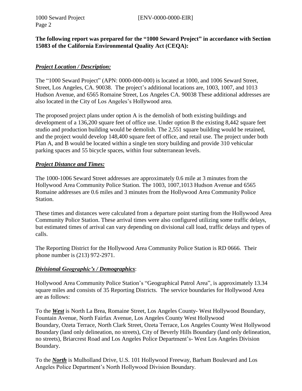Page 2

### **The following report was prepared for the "1000 Seward Project" in accordance with Section 15083 of the California Environmental Quality Act (CEQA):**

### *Project Location / Description:*

The "1000 Seward Project" (APN: 0000-000-000) is located at 1000, and 1006 Seward Street, Street, Los Angeles, CA. 90038. The project's additional locations are, 1003, 1007, and 1013 Hudson Avenue, and 6565 Romaine Street, Los Angeles CA. 90038 These additional addresses are also located in the City of Los Angeles's Hollywood area.

The proposed project plans under option A is the demolish of both existing buildings and development of a 136,200 square feet of office use. Under option B the existing 8,442 square feet studio and production building would be demolish. The 2,551 square building would be retained, and the project would develop 148,400 square feet of office, and retail use. The project under both Plan A, and B would be located within a single ten story building and provide 310 vehicular parking spaces and 55 bicycle spaces, within four subterranean levels.

#### *Project Distance and Times:*

The 1000-1006 Seward Street addresses are approximately 0.6 mile at 3 minutes from the Hollywood Area Community Police Station. The 1003, 1007,1013 Hudson Avenue and 6565 Romaine addresses are 0.6 miles and 3 minutes from the Hollywood Area Community Police Station.

These times and distances were calculated from a departure point starting from the Hollywood Area Community Police Station. These arrival times were also configured utilizing some traffic delays, but estimated times of arrival can vary depending on divisional call load, traffic delays and types of calls.

The Reporting District for the Hollywood Area Community Police Station is RD 0666. Their phone number is (213) 972-2971.

#### *Divisional Geographic's / Demographics*:

Hollywood Area Community Police Station's "Geographical Patrol Area", is approximately 13.34 square miles and consists of 35 Reporting Districts. The service boundaries for Hollywood Area are as follows:

To the *West* is North La Brea, Romaine Street, Los Angeles County- West Hollywood Boundary, Fountain Avenue, North Fairfax Avenue, Los Angeles County West Hollywood Boundary, Ozeta Terrace, North Clark Street, Ozeta Terrace, Los Angeles County West Hollywood Boundary (land only delineation, no streets), City of Beverly Hills Boundary (land only delineation, no streets), Briarcrest Road and Los Angeles Police Department's- West Los Angeles Division Boundary.

To the *North* is Mulholland Drive, U.S. 101 Hollywood Freeway, Barham Boulevard and Los Angeles Police Department's North Hollywood Division Boundary.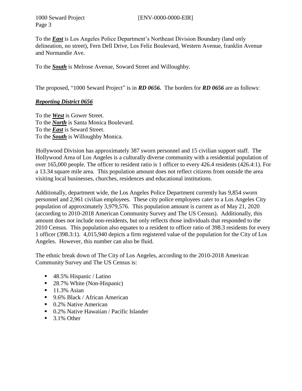1000 Seward Project [ENV-0000-0000-EIR]

Page 3

To the *East* is Los Angeles Police Department's Northeast Division Boundary (land only delineation, no street), Fern Dell Drive, Los Feliz Boulevard, Western Avenue, franklin Avenue and Normandie Ave.

To the *South* is Melrose Avenue, Soward Street and Willoughby.

The proposed, "1000 Seward Project" is in *RD 0656.* The borders for *RD 0656* are as follows:

#### *Reporting District 0656*

To the *West* is Gower Street. To the *North* is Santa Monica Boulevard. To the *East* is Seward Street. To the *South* is Willoughby Monica.

Hollywood Division has approximately 387 sworn personnel and 15 civilian support staff. The Hollywood Area of Los Angeles is a culturally diverse community with a residential population of over 165,000 people. The officer to resident ratio is 1 officer to every 426.4 residents (426.4:1). For a 13.34 square mile area. This population amount does not reflect citizens from outside the area visiting local businesses, churches, residences and educational institutions.

Additionally, department wide, the Los Angeles Police Department currently has 9,854 sworn personnel and 2,961 civilian employees. These city police employees cater to a Los Angeles City population of approximately 3,979,576. This population amount is current as of May 21, 2020 (according to 2010-2018 American Community Survey and The US Census). Additionally, this amount does not include non-residents, but only reflects those individuals that responded to the 2010 Census. This population also equates to a resident to officer ratio of 398.3 residents for every 1 officer (398.3:1). 4,015,940 depicts a firm registered value of the population for the City of Los Angeles. However, this number can also be fluid.

The ethnic break down of The City of Los Angeles, according to the 2010-2018 American Community Survey and The US Census is:

- 48.5% Hispanic / Latino
- 28.7% White (Non-Hispanic)
- **11.3% Asian**
- 9.6% Black / African American
- 0.2% Native American
- 0.2% Native Hawaiian / Pacific Islander
- $\blacksquare$  3.1% Other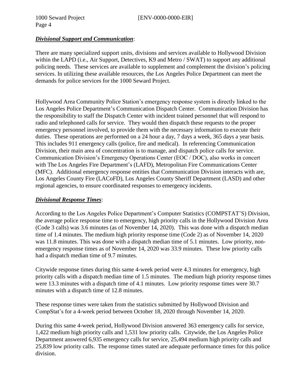#### *Divisional Support and Communication*:

There are many specialized support units, divisions and services available to Hollywood Division within the LAPD (i.e., Air Support, Detectives, K9 and Metro / SWAT) to support any additional policing needs. These services are available to supplement and complement the division's policing services. In utilizing these available resources, the Los Angeles Police Department can meet the demands for police services for the 1000 Seward Project.

Hollywood Area Community Police Station's emergency response system is directly linked to the Los Angeles Police Department's Communication Dispatch Center. Communication Division has the responsibility to staff the Dispatch Center with incident trained personnel that will respond to radio and telephoned calls for service. They would then dispatch these requests to the proper emergency personnel involved, to provide them with the necessary information to execute their duties. These operations are performed on a 24 hour a day, 7 days a week, 365 days a year basis. This includes 911 emergency calls (police, fire and medical). In referencing Communication Division, their main area of concentration is to manage, and dispatch police calls for service. Communication Division's Emergency Operations Center (EOC / DOC), also works in concert with The Los Angeles Fire Department's (LAFD), Metropolitan Fire Communications Center (MFC). Additional emergency response entities that Communication Division interacts with are, Los Angeles County Fire (LACoFD), Los Angeles County Sheriff Department (LASD) and other regional agencies, to ensure coordinated responses to emergency incidents.

#### *Divisional Response Times*:

According to the Los Angeles Police Department's Computer Statistics (COMPSTAT'S) Division, the average police response time to emergency, high priority calls in the Hollywood Division Area (Code 3 calls) was 3.6 minutes (as of November 14, 2020). This was done with a dispatch median time of 1.4 minutes. The medium high priority response time (Code 2) as of November 14, 2020 was 11.8 minutes. This was done with a dispatch median time of 5.1 minutes. Low priority, nonemergency response times as of November 14, 2020 was 33.9 minutes. These low priority calls had a dispatch median time of 9.7 minutes.

Citywide response times during this same 4-week period were 4.3 minutes for emergency, high priority calls with a dispatch median time of 1.5 minutes. The medium high priority response times were 13.3 minutes with a dispatch time of 4.1 minutes. Low priority response times were 30.7 minutes with a dispatch time of 12.8 minutes.

These response times were taken from the statistics submitted by Hollywood Division and CompStat's for a 4-week period between October 18, 2020 through November 14, 2020.

During this same 4-week period, Hollywood Division answered 363 emergency calls for service, 1,422 medium high priority calls and 1,531 low priority calls. Citywide, the Los Angeles Police Department answered 6,935 emergency calls for service, 25,494 medium high priority calls and 25,839 low priority calls. The response times stated are adequate performance times for this police division.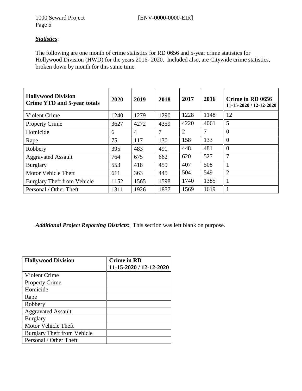### *Statistics*:

The following are one month of crime statistics for RD 0656 and 5-year crime statistics for Hollywood Division (HWD) for the years 2016- 2020. Included also, are Citywide crime statistics, broken down by month for this same time.

| <b>Hollywood Division</b><br><b>Crime YTD and 5-year totals</b> | 2020 | 2019           | 2018 | 2017           | 2016 | Crime in RD 0656<br>11-15-2020 / 12-12-2020 |
|-----------------------------------------------------------------|------|----------------|------|----------------|------|---------------------------------------------|
| Violent Crime                                                   | 1240 | 1279           | 1290 | 1228           | 1148 | 12                                          |
| <b>Property Crime</b>                                           | 3627 | 4272           | 4359 | 4220           | 4061 | 5                                           |
| Homicide                                                        | 6    | $\overline{4}$ | 7    | $\overline{2}$ | 7    | $\theta$                                    |
| Rape                                                            | 75   | 117            | 130  | 158            | 133  | $\theta$                                    |
| Robbery                                                         | 395  | 483            | 491  | 448            | 481  | $\Omega$                                    |
| <b>Aggravated Assault</b>                                       | 764  | 675            | 662  | 620            | 527  | 7                                           |
| <b>Burglary</b>                                                 | 553  | 418            | 459  | 407            | 508  |                                             |
| Motor Vehicle Theft                                             | 611  | 363            | 445  | 504            | 549  | $\overline{2}$                              |
| <b>Burglary Theft from Vehicle</b>                              | 1152 | 1565           | 1598 | 1740           | 1385 |                                             |
| Personal / Other Theft                                          | 1311 | 1926           | 1857 | 1569           | 1619 |                                             |

#### *Additional Project Reporting Districts***:** This section was left blank on purpose.

| <b>Hollywood Division</b>          | <b>Crime in RD</b>      |
|------------------------------------|-------------------------|
|                                    | 11-15-2020 / 12-12-2020 |
| Violent Crime                      |                         |
| <b>Property Crime</b>              |                         |
| Homicide                           |                         |
| Rape                               |                         |
| Robbery                            |                         |
| <b>Aggravated Assault</b>          |                         |
| <b>Burglary</b>                    |                         |
| <b>Motor Vehicle Theft</b>         |                         |
| <b>Burglary Theft from Vehicle</b> |                         |
| Personal / Other Theft             |                         |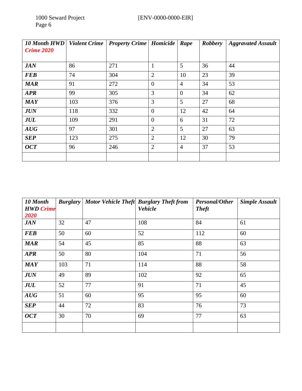| <b>10 Month HWD</b><br><b>Crime 2020</b> | <b>Violent Crime</b> | <b>Property Crime   Homicide</b> |                | Rape           | <b>Robbery</b> | <b>Aggravated Assault</b> |
|------------------------------------------|----------------------|----------------------------------|----------------|----------------|----------------|---------------------------|
| <b>JAN</b>                               | 86                   | 271                              | $\mathbf{1}$   | 5              | 36             | 44                        |
| <b>FEB</b>                               | 74                   | 304                              | $\overline{2}$ | 10             | 23             | 39                        |
| <b>MAR</b>                               | 91                   | 272                              | $\overline{0}$ | $\overline{4}$ | 34             | 53                        |
| <b>APR</b>                               | 99                   | 305                              | 3              | $\overline{0}$ | 34             | 62                        |
| <b>MAY</b>                               | 103                  | 376                              | 3              | 5              | 27             | 68                        |
| <b>JUN</b>                               | 118                  | 332                              | $\theta$       | 12             | 42             | 64                        |
| <b>JUL</b>                               | 109                  | 291                              | $\overline{0}$ | 6              | 31             | 72                        |
| AUG                                      | 97                   | 301                              | $\overline{2}$ | 5              | 27             | 63                        |
| <b>SEP</b>                               | 123                  | 275                              | $\overline{2}$ | 12             | 30             | 79                        |
| OCT                                      | 96                   | 246                              | $\overline{2}$ | $\overline{4}$ | 37             | 53                        |
|                                          |                      |                                  |                |                |                |                           |

| 10 Month<br><b>HWD</b> Crime |     |    | <b>Burglary</b> Motor Vehicle Theft Burglary Theft from<br><b>Vehicle</b> | <b>Personal/Other</b><br><b>Theft</b> | <b>Simple Assault</b> |
|------------------------------|-----|----|---------------------------------------------------------------------------|---------------------------------------|-----------------------|
| 2020                         |     |    |                                                                           |                                       |                       |
| <b>JAN</b>                   | 32  | 47 | 108                                                                       | 84                                    | 61                    |
| <b>FEB</b>                   | 50  | 60 | 52                                                                        | 112                                   | 60                    |
| MAR                          | 54  | 45 | 85                                                                        | 88                                    | 63                    |
| <b>APR</b>                   | 50  | 80 | 104                                                                       | 71                                    | 56                    |
| <b>MAY</b>                   | 103 | 71 | 114                                                                       | 88                                    | 58                    |
| <b>JUN</b>                   | 49  | 89 | 102                                                                       | 92                                    | 65                    |
| <b>JUL</b>                   | 52  | 77 | 91                                                                        | 71                                    | 45                    |
| AUG                          | 51  | 60 | 95                                                                        | 95                                    | 60                    |
| <b>SEP</b>                   | 44  | 72 | 83                                                                        | 76                                    | 73                    |
| <b>OCT</b>                   | 30  | 70 | 69                                                                        | 77                                    | 63                    |
|                              |     |    |                                                                           |                                       |                       |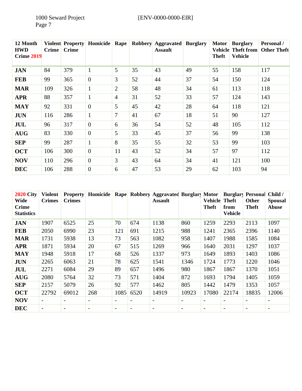| 12 Month<br><b>HWD</b><br><b>Crime 2019</b> | <b>Crime</b> | <b>Crime</b> | <b>Violent Property Homicide</b> | <b>Rape</b>     |    | Robbery Aggravated<br><b>Assault</b> | <b>Burglary</b> | <b>Motor</b><br><b>Theft</b> | <b>Burglary</b><br><b>Vehicle Theft from</b><br><b>Vehicle</b> | Personal /<br><b>Other Theft</b> |
|---------------------------------------------|--------------|--------------|----------------------------------|-----------------|----|--------------------------------------|-----------------|------------------------------|----------------------------------------------------------------|----------------------------------|
| <b>JAN</b>                                  | 84           | 379          | $\mathbf{1}$                     | 5               | 35 | 43                                   | 49              | 55                           | 158                                                            | 117                              |
| <b>FEB</b>                                  | 99           | 365          | $\overline{0}$                   | $\overline{3}$  | 52 | 44                                   | 37              | 54                           | 150                                                            | 124                              |
| <b>MAR</b>                                  | 109          | 326          | $\mathbf{1}$                     | $\overline{2}$  | 58 | 48                                   | 34              | 61                           | 113                                                            | 118                              |
| <b>APR</b>                                  | 88           | 357          | $\mathbf{1}$                     | $\overline{4}$  | 31 | 52                                   | 33              | 57                           | 124                                                            | 143                              |
| <b>MAY</b>                                  | 92           | 331          | $\overline{0}$                   | $5\overline{)}$ | 45 | 42                                   | 28              | 64                           | 118                                                            | 121                              |
| <b>JUN</b>                                  | 116          | 286          | $\mathbf{1}$                     | 7               | 41 | 67                                   | 18              | 51                           | 90                                                             | 127                              |
| JUL                                         | 96           | 317          | $\theta$                         | 6               | 36 | 54                                   | 52              | 48                           | 105                                                            | 112                              |
| <b>AUG</b>                                  | 83           | 330          | $\overline{0}$                   | 5               | 33 | 45                                   | 37              | 56                           | 99                                                             | 138                              |
| <b>SEP</b>                                  | 99           | 287          | $\mathbf{1}$                     | 8               | 35 | 55                                   | 32              | 53                           | 99                                                             | 103                              |
| <b>OCT</b>                                  | 106          | 300          | $\overline{0}$                   | 11              | 43 | 52                                   | 34              | 57                           | 97                                                             | 112                              |
| <b>NOV</b>                                  | 110          | 296          | $\theta$                         | $\overline{3}$  | 43 | 64                                   | 34              | 41                           | 121                                                            | 100                              |
| <b>DEC</b>                                  | 106          | 288          | $\overline{0}$                   | 6               | 47 | 53                                   | 29              | 62                           | 103                                                            | 94                               |

| <b>2020 City</b><br>Wide<br><b>Crime</b><br><b>Statistics</b> | <b>Violent</b><br><b>Crimes</b> | <b>Property</b><br><b>Crimes</b> | <b>Homicide</b>          |                          |                          | Rape Robbery Aggravated Burglary Motor<br><b>Assault</b> |                          | <b>Vehicle</b><br><b>Theft</b> | <b>Theft</b><br>from<br><b>Vehicle</b> | <b>Burglary Personal</b><br>Other<br><b>Theft</b> | Child /<br><b>Spousal</b><br><b>Abuse</b> |
|---------------------------------------------------------------|---------------------------------|----------------------------------|--------------------------|--------------------------|--------------------------|----------------------------------------------------------|--------------------------|--------------------------------|----------------------------------------|---------------------------------------------------|-------------------------------------------|
| <b>JAN</b>                                                    | 1907                            | 6525                             | 25                       | 70                       | 674                      | 1138                                                     | 860                      | 1259                           | 2293                                   | 2113                                              | 1097                                      |
| <b>FEB</b>                                                    | 2050                            | 6990                             | 23                       | 121                      | 691                      | 1215                                                     | 988                      | 1241                           | 2365                                   | 2396                                              | 1140                                      |
| <b>MAR</b>                                                    | 1731                            | 5938                             | 13                       | 73                       | 563                      | 1082                                                     | 958                      | 1407                           | 1988                                   | 1585                                              | 1084                                      |
| <b>APR</b>                                                    | 1871                            | 5934                             | 20                       | 67                       | 515                      | 1269                                                     | 966                      | 1640                           | 2031                                   | 1297                                              | 1037                                      |
| <b>MAY</b>                                                    | 1948                            | 5918                             | 17                       | 68                       | 526                      | 1337                                                     | 973                      | 1649                           | 1893                                   | 1403                                              | 1086                                      |
| <b>JUN</b>                                                    | 2265                            | 6063                             | 21                       | 78                       | 625                      | 1541                                                     | 1346                     | 1724                           | 1773                                   | 1220                                              | 1046                                      |
| JUL                                                           | 2271                            | 6084                             | 29                       | 89                       | 657                      | 1496                                                     | 980                      | 1867                           | 1867                                   | 1370                                              | 1051                                      |
| <b>AUG</b>                                                    | 2080                            | 5764                             | 32                       | 73                       | 571                      | 1404                                                     | 872                      | 1693                           | 1794                                   | 1405                                              | 1059                                      |
| <b>SEP</b>                                                    | 2157                            | 5079                             | 26                       | 92                       | 577                      | 1462                                                     | 805                      | 1442                           | 1479                                   | 1353                                              | 1057                                      |
| <b>OCT</b>                                                    | 22792                           | 69012                            | 268                      | 1085                     | 6520                     | 14919                                                    | 10923                    | 17080                          | 22174                                  | 18835                                             | 12006                                     |
| <b>NOV</b>                                                    | $\overline{\phantom{a}}$        | $\overline{\phantom{a}}$         | $\overline{\phantom{a}}$ | $\overline{\phantom{a}}$ | $\overline{\phantom{a}}$ | $\overline{\phantom{a}}$                                 | $\overline{\phantom{a}}$ | $\overline{\phantom{a}}$       | $\qquad \qquad$                        | $\overline{\phantom{a}}$                          | -                                         |
| <b>DEC</b>                                                    | $\overline{\phantom{a}}$        | $\overline{\phantom{a}}$         | $\overline{\phantom{a}}$ | $\overline{\phantom{a}}$ | $\overline{\phantom{a}}$ | $\overline{\phantom{a}}$                                 | $\overline{\phantom{a}}$ | $\overline{\phantom{a}}$       | $\overline{\phantom{a}}$               | $\overline{\phantom{a}}$                          | -                                         |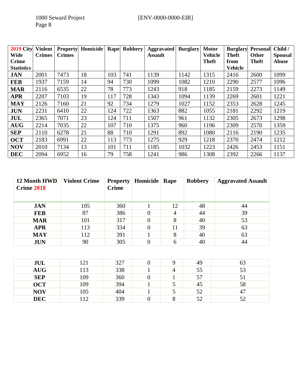| <b>2019 City</b>  | <b>Violent</b> | <b>Property</b> | Homicide | Rape | Robbery | Aggravated     | <b>Burglary</b> | <b>Motor</b>   | <b>Burglary</b> | <b>Personal</b> | Child /        |
|-------------------|----------------|-----------------|----------|------|---------|----------------|-----------------|----------------|-----------------|-----------------|----------------|
| Wide              | <b>Crimes</b>  | <b>Crimes</b>   |          |      |         | <b>Assault</b> |                 | <b>Vehicle</b> | <b>Theft</b>    | <b>Other</b>    | <b>Spousal</b> |
| <b>Crime</b>      |                |                 |          |      |         |                |                 | <b>Theft</b>   | from            | Theft           | <b>Abuse</b>   |
| <b>Statistics</b> |                |                 |          |      |         |                |                 |                | <b>Vehicle</b>  |                 |                |
| <b>JAN</b>        | 2001           | 7473            | 18       | 103  | 741     | 1139           | 1142            | 1315           | 2416            | 2600            | 1099           |
| <b>FEB</b>        | 1937           | 7159            | 14       | 94   | 730     | 1099           | 1082            | 1210           | 2290            | 2577            | 1096           |
| <b>MAR</b>        | 2116           | 6535            | 22       | 78   | 773     | 1243           | 918             | 1185           | 2159            | 2273            | 1149           |
| <b>APR</b>        | 2207           | 7103            | 19       | 117  | 728     | 1343           | 1094            | 1139           | 2269            | 2601            | 1221           |
| <b>MAY</b>        | 2126           | 7160            | 21       | 92   | 734     | 1279           | 1027            | 1152           | 2353            | 2628            | 1245           |
| <b>JUN</b>        | 2231           | 6410            | 22       | 124  | 722     | 1363           | 882             | 1055           | 2181            | 2292            | 1219           |
| JUL               | 2365           | 7071            | 23       | 124  | 711     | 1507           | 961             | 1132           | 2305            | 2673            | 1298           |
| <b>AUG</b>        | 2214           | 7035            | 22       | 107  | 710     | 1375           | 960             | 1196           | 2309            | 2570            | 1359           |
| <b>SEP</b>        | 2110           | 6278            | 21       | 88   | 710     | 1291           | 892             | 1080           | 2116            | 2190            | 1235           |
| <b>OCT</b>        | 2183           | 6991            | 22       | 113  | 773     | 1275           | 929             | 1218           | 2370            | 2474            | 1212           |
| <b>NOV</b>        | 2010           | 7134            | 13       | 101  | 711     | 1185           | 1032            | 1223           | 2426            | 2453            | 1151           |
| <b>DEC</b>        | 2094           | 6952            | 16       | 79   | 758     | 1241           | 986             | 1308           | 2392            | 2266            | 1137           |

| 12 Month HWD<br><b>Crime 2018</b> | <b>Violent Crime</b> | <b>Property</b><br><b>Crime</b> | Homicide | Rape | <b>Robbery</b> | <b>Aggravated Assault</b> |
|-----------------------------------|----------------------|---------------------------------|----------|------|----------------|---------------------------|
| <b>JAN</b>                        | 105                  | 360                             |          | 12   | 48             | 44                        |
| <b>FEB</b>                        | 87                   | 386                             |          | 4    | 44             | 39                        |
| <b>MAR</b>                        | 101                  | 317                             |          | 8    | 40             | 53                        |
| <b>APR</b>                        | 113                  | 334                             |          | 11   | 39             | 63                        |
| <b>MAY</b>                        | 112                  | 391                             |          | 8    | 40             | 63                        |
| <b>JUN</b>                        | 90                   | 305                             |          | 6    | 40             | 44                        |

| JUL        | 121 | 327 |   | 49 | 63 |
|------------|-----|-----|---|----|----|
| <b>AUG</b> | 113 | 338 | 4 | 55 | 53 |
| <b>SEP</b> | 109 | 360 |   | 57 | ЭI |
| <b>OCT</b> | 109 | 394 | ◡ | 45 | 58 |
| <b>NOV</b> | 105 | 404 | ◡ | 52 | 47 |
| <b>DEC</b> | 112 | 339 | O | 52 | 52 |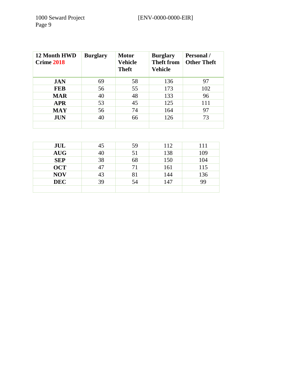| 12 Month HWD<br><b>Crime 2018</b> | <b>Burglary</b> | <b>Motor</b><br>Vehicle<br><b>Theft</b> | <b>Burglary</b><br><b>Theft from</b><br>Vehicle | <b>Personal</b> /<br><b>Other Theft</b> |
|-----------------------------------|-----------------|-----------------------------------------|-------------------------------------------------|-----------------------------------------|
| <b>JAN</b>                        | 69              | 58                                      | 136                                             | 97                                      |
| <b>FEB</b>                        | 56              | 55                                      | 173                                             | 102                                     |
| <b>MAR</b>                        | 40              | 48                                      | 133                                             | 96                                      |
| <b>APR</b>                        | 53              | 45                                      | 125                                             | 111                                     |
| <b>MAY</b>                        | 56              | 74                                      | 164                                             | 97                                      |
| <b>JUN</b>                        | 40              | 66                                      | 126                                             | 73                                      |
|                                   |                 |                                         |                                                 |                                         |

| JUL        | 45 | 59 | 112 | 111 |
|------------|----|----|-----|-----|
| <b>AUG</b> | 40 | 51 | 138 | 109 |
| <b>SEP</b> | 38 | 68 | 150 | 104 |
| <b>OCT</b> | 47 | 71 | 161 | 115 |
| <b>NOV</b> | 43 | 81 | 144 | 136 |
| <b>DEC</b> | 39 | 54 | 147 | 99  |
|            |    |    |     |     |